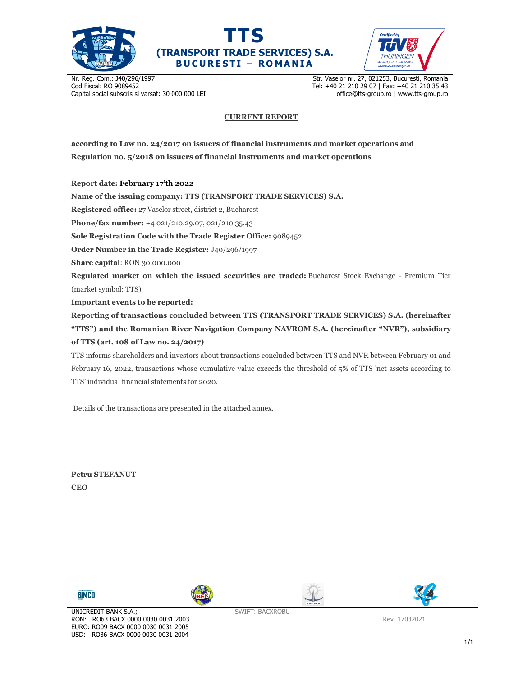





Nr. Reg. Com.: J40/296/1997 Cod Fiscal: RO 9089452 Capital social subscris si varsat: 30 000 000 LEI Str. Vaselor nr. 27, 021253, Bucuresti, Romania Tel: +40 21 210 29 07 | Fax: +40 21 210 35 43 office@tts-group.ro | www.tts-group.ro

## **CURRENT REPORT**

**according to Law no. 24/2017 on issuers of financial instruments and market operations and Regulation no. 5/2018 on issuers of financial instruments and market operations** 

**Report date: February 17'th 2022**

**Name of the issuing company: TTS (TRANSPORT TRADE SERVICES) S.A.**

**Registered office:** 27 Vaselor street, district 2, Bucharest

**Phone/fax number:** +4 021/210.29.07, 021/210.35.43

**Sole Registration Code with the Trade Register Office:** 9089452

**Order Number in the Trade Register:** J40/296/1997

**Share capital**: RON 30.000.000

**Regulated market on which the issued securities are traded:** Bucharest Stock Exchange - Premium Tier (market symbol: TTS)

**Important events to be reported:**

**Reporting of transactions concluded between TTS (TRANSPORT TRADE SERVICES) S.A. (hereinafter "TTS") and the Romanian River Navigation Company NAVROM S.A. (hereinafter "NVR"), subsidiary of TTS (art. 108 of Law no. 24/2017)** 

TTS informs shareholders and investors about transactions concluded between TTS and NVR between February 01 and February 16, 2022, transactions whose cumulative value exceeds the threshold of 5% of TTS 'net assets according to TTS' individual financial statements for 2020.

Details of the transactions are presented in the attached annex.

**Petru STEFANUT CEO** 









SWIFT: BACXROBU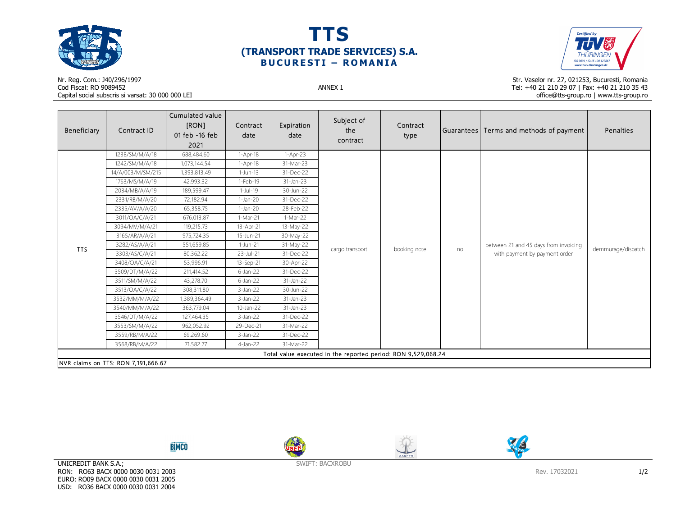





## Nr. Reg. Com.: J40/296/1997Cod Fiscal: RO 9089452 ANNEX 1 Capital social subscris si varsat: 30 000 000 LEI

Str. Vaselor nr. 27, 021253, Bucuresti, Romania Tel: +40 21 210 29 07 | Fax: +40 21 210 35 43 office@tts-group.ro | www.tts-group.ro

| Beneficiary                                                   | Contract ID       | Cumulated value<br>[RON]<br>01 feb -16 feb<br>2021 | Contract<br>date | Expiration<br>date | Subject of<br>the<br>contract | Contract<br>type |    | Guarantees   Terms and methods of payment                              | Penalties          |  |
|---------------------------------------------------------------|-------------------|----------------------------------------------------|------------------|--------------------|-------------------------------|------------------|----|------------------------------------------------------------------------|--------------------|--|
| <b>TTS</b>                                                    | 1238/SM/M/A/18    | 688,484.60                                         | $1-Apr-18$       | $1-Apr-23$         | cargo transport               | booking note     | no | between 21 and 45 days from invoicing<br>with payment by payment order | demmurage/dispatch |  |
|                                                               | 1242/SM/M/A/18    | 1,073,144.54                                       | $1-Apr-18$       | 31-Mar-23          |                               |                  |    |                                                                        |                    |  |
|                                                               | 14/A/003/M/SM/215 | 1,393,813.49                                       | $1-Jun-13$       | 31-Dec-22          |                               |                  |    |                                                                        |                    |  |
|                                                               | 1763/MS/M/A/19    | 42,993.32                                          | 1-Feb-19         | 31-Jan-23          |                               |                  |    |                                                                        |                    |  |
|                                                               | 2034/MB/A/A/19    | 189,599.47                                         | $1-Jul-19$       | 30-Jun-22          |                               |                  |    |                                                                        |                    |  |
|                                                               | 2331/RB/M/A/20    | 72,182.94                                          | $1-Jan-20$       | 31-Dec-22          |                               |                  |    |                                                                        |                    |  |
|                                                               | 2335/AV/A/A/20    | 65,358.75                                          | $1-Jan-20$       | 28-Feb-22          |                               |                  |    |                                                                        |                    |  |
|                                                               | 3011/OA/C/A/21    | 676,013.87                                         | 1-Mar-21         | $1-Mar-22$         |                               |                  |    |                                                                        |                    |  |
|                                                               | 3094/MV/M/A/21    | 119,215.73                                         | 13-Apr-21        | 13-May-22          |                               |                  |    |                                                                        |                    |  |
|                                                               | 3165/AR/A/A/21    | 975,724.35                                         | 15-Jun-21        | 30-May-22          |                               |                  |    |                                                                        |                    |  |
|                                                               | 3282/AS/A/A/21    | 551,659.85                                         | 1-Jun-21         | 31-May-22          |                               |                  |    |                                                                        |                    |  |
|                                                               | 3303/AS/C/A/21    | 80,362.22                                          | 23-Jul-21        | 31-Dec-22          |                               |                  |    |                                                                        |                    |  |
|                                                               | 3408/OA/C/A/21    | 53,996.91                                          | 13-Sep-21        | 30-Apr-22          |                               |                  |    |                                                                        |                    |  |
|                                                               | 3509/DT/M/A/22    | 211,414.52                                         | $6$ -Jan-22      | 31-Dec-22          |                               |                  |    |                                                                        |                    |  |
|                                                               | 3511/SM/M/A/22    | 43,278.70                                          | $6$ -Jan-22      | 31-Jan-22          |                               |                  |    |                                                                        |                    |  |
|                                                               | 3513/OA/C/A/22    | 308,311.80                                         | $3$ -Jan-22      | 30-Jun-22          |                               |                  |    |                                                                        |                    |  |
|                                                               | 3532/MM/M/A/22    | 1,389,364.49                                       | $3$ -Jan-22      | $31$ -Jan-23       |                               |                  |    |                                                                        |                    |  |
|                                                               | 3540/MM/M/A/22    | 363,779.04                                         | 10-Jan-22        | 31-Jan-23          |                               |                  |    |                                                                        |                    |  |
|                                                               | 3546/DT/M/A/22    | 127,464.35                                         | $3$ -Jan-22      | 31-Dec-22          |                               |                  |    |                                                                        |                    |  |
|                                                               | 3553/SM/M/A/22    | 962,052.92                                         | 29-Dec-21        | 31-Mar-22          |                               |                  |    |                                                                        |                    |  |
|                                                               | 3559/RB/M/A/22    | 69,269.60                                          | $3$ -Jan-22      | 31-Dec-22          |                               |                  |    |                                                                        |                    |  |
|                                                               | 3568/RB/M/A/22    | 71,582.77                                          | $4$ -Jan-22      | 31-Mar-22          |                               |                  |    |                                                                        |                    |  |
| Total value executed in the reported period: RON 9,529,068.24 |                   |                                                    |                  |                    |                               |                  |    |                                                                        |                    |  |
| NVR claims on TTS: RON 7,191,666.67                           |                   |                                                    |                  |                    |                               |                  |    |                                                                        |                    |  |









SWIFT: BACXROBU